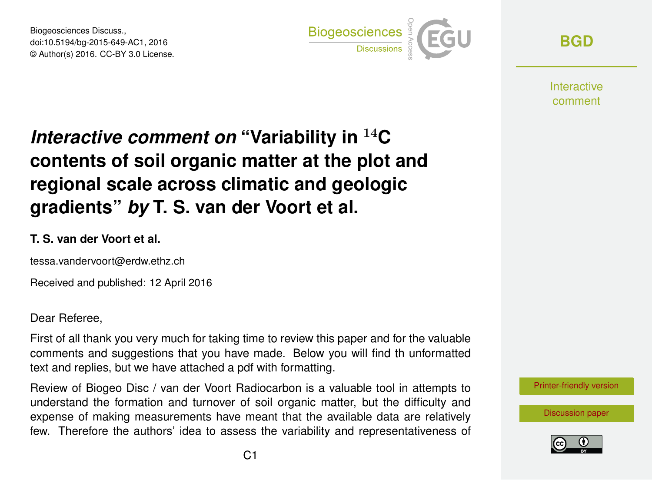Biogeosciences Discuss., doi:10.5194/bg-2015-649-AC1, 2016 © Author(s) 2016. CC-BY 3.0 License.



**[BGD](http://www.biogeosciences-discuss.net/)**

**Interactive** comment

# *Interactive comment on* **"Variability in** <sup>14</sup>**C contents of soil organic matter at the plot and regional scale across climatic and geologic gradients"** *by* **T. S. van der Voort et al.**

#### **T. S. van der Voort et al.**

tessa.vandervoort@erdw.ethz.ch

Received and published: 12 April 2016

Dear Referee,

First of all thank you very much for taking time to review this paper and for the valuable comments and suggestions that you have made. Below you will find th unformatted text and replies, but we have attached a pdf with formatting.

Review of Biogeo Disc / van der Voort Radiocarbon is a valuable tool in attempts to understand the formation and turnover of soil organic matter, but the difficulty and expense of making measurements have meant that the available data are relatively few. Therefore the authors' idea to assess the variability and representativeness of [Printer-friendly version](http://www.biogeosciences-discuss.net/bg-2015-649/bg-2015-649-AC1-print.pdf)

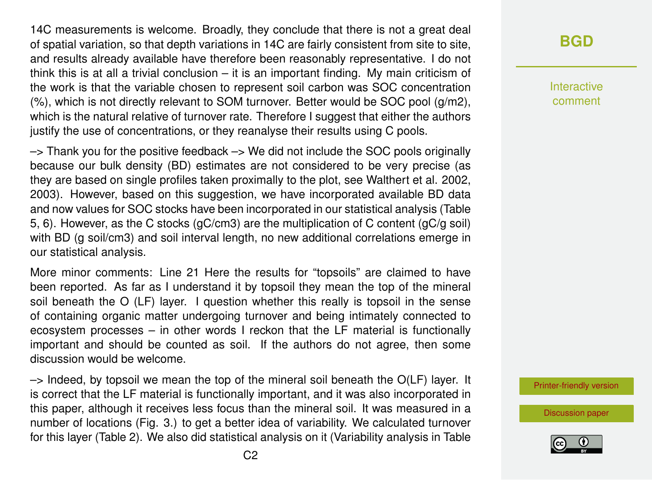14C measurements is welcome. Broadly, they conclude that there is not a great deal of spatial variation, so that depth variations in 14C are fairly consistent from site to site, and results already available have therefore been reasonably representative. I do not think this is at all a trivial conclusion – it is an important finding. My main criticism of the work is that the variable chosen to represent soil carbon was SOC concentration (%), which is not directly relevant to SOM turnover. Better would be SOC pool (g/m2), which is the natural relative of turnover rate. Therefore I suggest that either the authors justify the use of concentrations, or they reanalyse their results using C pools.

 $\rightarrow$  Thank you for the positive feedback  $\rightarrow$  We did not include the SOC pools originally because our bulk density (BD) estimates are not considered to be very precise (as they are based on single profiles taken proximally to the plot, see Walthert et al. 2002, 2003). However, based on this suggestion, we have incorporated available BD data and now values for SOC stocks have been incorporated in our statistical analysis (Table 5, 6). However, as the C stocks (gC/cm3) are the multiplication of C content (gC/g soil) with BD (g soil/cm3) and soil interval length, no new additional correlations emerge in our statistical analysis.

More minor comments: Line 21 Here the results for "topsoils" are claimed to have been reported. As far as I understand it by topsoil they mean the top of the mineral soil beneath the O (LF) layer. I question whether this really is topsoil in the sense of containing organic matter undergoing turnover and being intimately connected to ecosystem processes – in other words I reckon that the LF material is functionally important and should be counted as soil. If the authors do not agree, then some discussion would be welcome.

 $\rightarrow$  Indeed, by topsoil we mean the top of the mineral soil beneath the O(LF) layer. It is correct that the LF material is functionally important, and it was also incorporated in this paper, although it receives less focus than the mineral soil. It was measured in a number of locations (Fig. 3.) to get a better idea of variability. We calculated turnover for this layer (Table 2). We also did statistical analysis on it (Variability analysis in Table

### **[BGD](http://www.biogeosciences-discuss.net/)**

Interactive comment

[Printer-friendly version](http://www.biogeosciences-discuss.net/bg-2015-649/bg-2015-649-AC1-print.pdf)

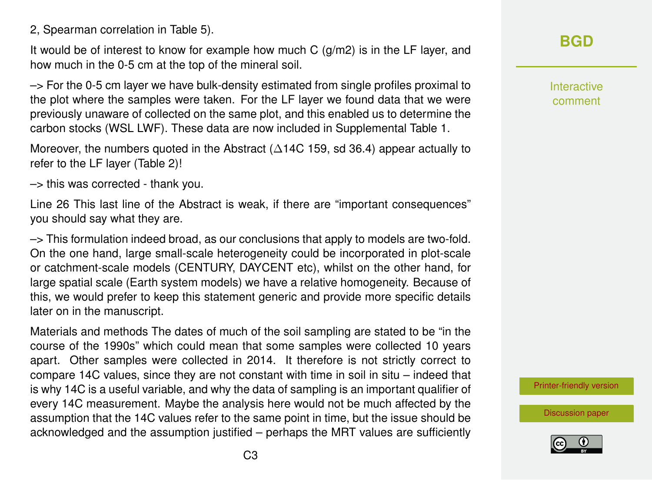#### 2, Spearman correlation in Table 5).

It would be of interest to know for example how much C  $(q/m2)$  is in the LF layer, and how much in the 0-5 cm at the top of the mineral soil.

–> For the 0-5 cm layer we have bulk-density estimated from single profiles proximal to the plot where the samples were taken. For the LF layer we found data that we were previously unaware of collected on the same plot, and this enabled us to determine the carbon stocks (WSL LWF). These data are now included in Supplemental Table 1.

Moreover, the numbers quoted in the Abstract  $(\Delta 14C 159, sd 36.4)$  appear actually to refer to the LF layer (Table 2)!

–> this was corrected - thank you.

Line 26 This last line of the Abstract is weak, if there are "important consequences" you should say what they are.

–> This formulation indeed broad, as our conclusions that apply to models are two-fold. On the one hand, large small-scale heterogeneity could be incorporated in plot-scale or catchment-scale models (CENTURY, DAYCENT etc), whilst on the other hand, for large spatial scale (Earth system models) we have a relative homogeneity. Because of this, we would prefer to keep this statement generic and provide more specific details later on in the manuscript.

Materials and methods The dates of much of the soil sampling are stated to be "in the course of the 1990s" which could mean that some samples were collected 10 years apart. Other samples were collected in 2014. It therefore is not strictly correct to compare 14C values, since they are not constant with time in soil in situ – indeed that is why 14C is a useful variable, and why the data of sampling is an important qualifier of every 14C measurement. Maybe the analysis here would not be much affected by the assumption that the 14C values refer to the same point in time, but the issue should be acknowledged and the assumption justified – perhaps the MRT values are sufficiently **[BGD](http://www.biogeosciences-discuss.net/)**

Interactive comment

[Printer-friendly version](http://www.biogeosciences-discuss.net/bg-2015-649/bg-2015-649-AC1-print.pdf)

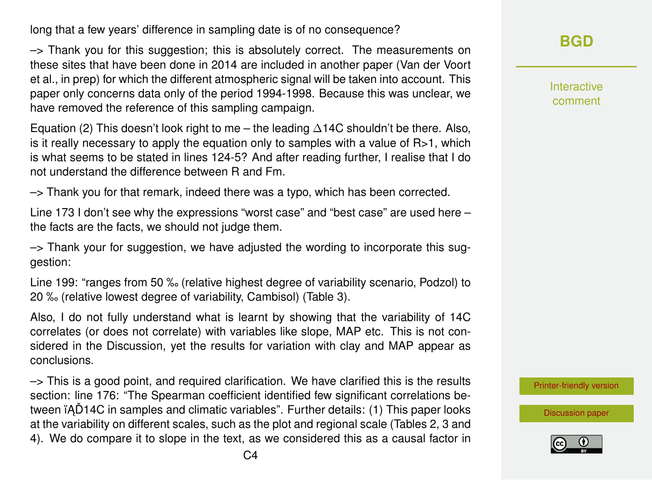long that a few years' difference in sampling date is of no consequence?

–> Thank you for this suggestion; this is absolutely correct. The measurements on these sites that have been done in 2014 are included in another paper (Van der Voort et al., in prep) for which the different atmospheric signal will be taken into account. This paper only concerns data only of the period 1994-1998. Because this was unclear, we have removed the reference of this sampling campaign.

Equation (2) This doesn't look right to me – the leading  $\Delta 14C$  shouldn't be there. Also, is it really necessary to apply the equation only to samples with a value of  $R>1$ , which is what seems to be stated in lines 124-5? And after reading further, I realise that I do not understand the difference between R and Fm.

–> Thank you for that remark, indeed there was a typo, which has been corrected.

Line 173 I don't see why the expressions "worst case" and "best case" are used here – the facts are the facts, we should not judge them.

 $\rightarrow$  Thank your for suggestion, we have adjusted the wording to incorporate this suggestion:

Line 199: "ranges from 50 ‰ (relative highest degree of variability scenario, Podzol) to 20 ‰ (relative lowest degree of variability, Cambisol) (Table 3).

Also, I do not fully understand what is learnt by showing that the variability of 14C correlates (or does not correlate) with variables like slope, MAP etc. This is not considered in the Discussion, yet the results for variation with clay and MAP appear as conclusions.

 $\rightarrow$  This is a good point, and required clarification. We have clarified this is the results section: line 176: "The Spearman coefficient identified few significant correlations between iAD14C in samples and climatic variables". Further details: (1) This paper looks at the variability on different scales, such as the plot and regional scale (Tables 2, 3 and 4). We do compare it to slope in the text, as we considered this as a causal factor in **[BGD](http://www.biogeosciences-discuss.net/)**

Interactive comment

[Printer-friendly version](http://www.biogeosciences-discuss.net/bg-2015-649/bg-2015-649-AC1-print.pdf)

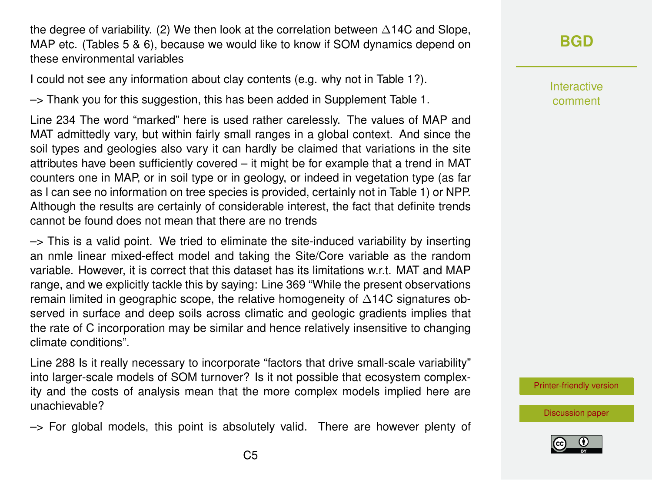the degree of variability. (2) We then look at the correlation between ∆14C and Slope, MAP etc. (Tables 5 & 6), because we would like to know if SOM dynamics depend on these environmental variables

I could not see any information about clay contents (e.g. why not in Table 1?).

–> Thank you for this suggestion, this has been added in Supplement Table 1.

Line 234 The word "marked" here is used rather carelessly. The values of MAP and MAT admittedly vary, but within fairly small ranges in a global context. And since the soil types and geologies also vary it can hardly be claimed that variations in the site attributes have been sufficiently covered – it might be for example that a trend in MAT counters one in MAP, or in soil type or in geology, or indeed in vegetation type (as far as I can see no information on tree species is provided, certainly not in Table 1) or NPP. Although the results are certainly of considerable interest, the fact that definite trends cannot be found does not mean that there are no trends

 $\rightarrow$  This is a valid point. We tried to eliminate the site-induced variability by inserting an nmle linear mixed-effect model and taking the Site/Core variable as the random variable. However, it is correct that this dataset has its limitations w.r.t. MAT and MAP range, and we explicitly tackle this by saying: Line 369 "While the present observations remain limited in geographic scope, the relative homogeneity of ∆14C signatures observed in surface and deep soils across climatic and geologic gradients implies that the rate of C incorporation may be similar and hence relatively insensitive to changing climate conditions".

Line 288 Is it really necessary to incorporate "factors that drive small-scale variability" into larger-scale models of SOM turnover? Is it not possible that ecosystem complexity and the costs of analysis mean that the more complex models implied here are unachievable?

 $\rightarrow$  For global models, this point is absolutely valid. There are however plenty of

## **[BGD](http://www.biogeosciences-discuss.net/)**

Interactive comment

[Printer-friendly version](http://www.biogeosciences-discuss.net/bg-2015-649/bg-2015-649-AC1-print.pdf)